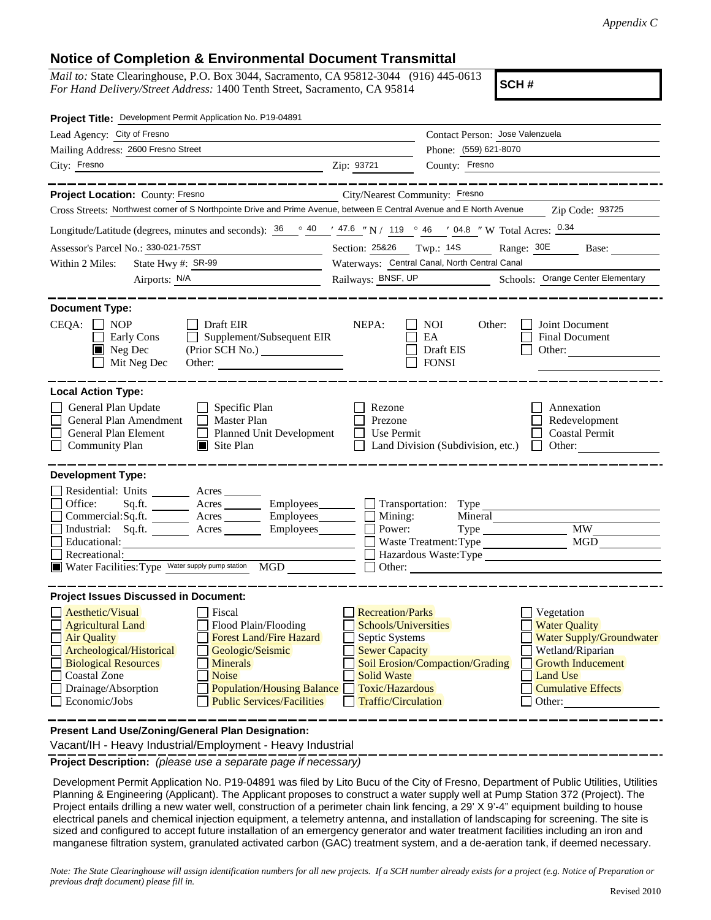## **Notice of Completion & Environmental Document Transmittal**

*Mail to:* State Clearinghouse, P.O. Box 3044, Sacramento, CA 95812-3044 (916) 445-0613 *For Hand Delivery/Street Address:* 1400 Tenth Street, Sacramento, CA 95814

**SCH #**

| Project Title: Development Permit Application No. P19-04891                                                                                                                                                                                                                                                                                                                                                                                                |                                                                                                                                                                                 |                                                                                                                                                                                                      |  |
|------------------------------------------------------------------------------------------------------------------------------------------------------------------------------------------------------------------------------------------------------------------------------------------------------------------------------------------------------------------------------------------------------------------------------------------------------------|---------------------------------------------------------------------------------------------------------------------------------------------------------------------------------|------------------------------------------------------------------------------------------------------------------------------------------------------------------------------------------------------|--|
| Lead Agency: City of Fresno                                                                                                                                                                                                                                                                                                                                                                                                                                |                                                                                                                                                                                 | Contact Person: Jose Valenzuela                                                                                                                                                                      |  |
| Mailing Address: 2600 Fresno Street                                                                                                                                                                                                                                                                                                                                                                                                                        |                                                                                                                                                                                 | Phone: (559) 621-8070                                                                                                                                                                                |  |
| City: Fresno<br><u> Alexandria de la contrada de la contrada de la contrada de la contrada de la contrada de la contrada de la c</u>                                                                                                                                                                                                                                                                                                                       | Zip: 93721                                                                                                                                                                      | County: Fresno                                                                                                                                                                                       |  |
| _____________                                                                                                                                                                                                                                                                                                                                                                                                                                              |                                                                                                                                                                                 |                                                                                                                                                                                                      |  |
| Project Location: County: Fresno<br>City/Nearest Community: Fresno                                                                                                                                                                                                                                                                                                                                                                                         |                                                                                                                                                                                 |                                                                                                                                                                                                      |  |
| Cross Streets: Northwest corner of S Northpointe Drive and Prime Avenue, between E Central Avenue and E North Avenue                                                                                                                                                                                                                                                                                                                                       |                                                                                                                                                                                 | Zip Code: 93725                                                                                                                                                                                      |  |
| Longitude/Latitude (degrees, minutes and seconds): $\frac{36}{100}$ $\frac{40}{100}$ $\frac{47.6}{100}$ N / 119 $\degree$ 46 $\degree$ / 04.8 " W Total Acres: $\frac{0.34}{100}$                                                                                                                                                                                                                                                                          |                                                                                                                                                                                 |                                                                                                                                                                                                      |  |
| Assessor's Parcel No.: 330-021-75ST                                                                                                                                                                                                                                                                                                                                                                                                                        | Section: 25826 Twp.: 14S Range: 30E Base:                                                                                                                                       |                                                                                                                                                                                                      |  |
| State Hwy #: $SR-99$<br>Within 2 Miles:                                                                                                                                                                                                                                                                                                                                                                                                                    |                                                                                                                                                                                 | Waterways: Central Canal, North Central Canal                                                                                                                                                        |  |
| Airports: N/A<br><u> 1980 - Jan Barbara Barbara, politik e</u>                                                                                                                                                                                                                                                                                                                                                                                             |                                                                                                                                                                                 | Railways: BNSF, UP Schools: Orange Center Elementary                                                                                                                                                 |  |
| <b>Document Type:</b><br>$CEQA: \Box NOP$<br>$\Box$ Draft EIR<br>Supplement/Subsequent EIR<br>Early Cons<br>$\Box$<br>$\blacksquare$ Neg Dec<br>Mit Neg Dec<br>Other: $\qquad \qquad$                                                                                                                                                                                                                                                                      | NEPA:                                                                                                                                                                           | Joint Document<br>NOI<br>Other:<br>EA<br><b>Final Document</b><br>Draft EIS<br>Other: $\frac{1}{\sqrt{1-\frac{1}{2}}\cdot\frac{1}{\sqrt{1-\frac{1}{2}}}}$<br><b>FONSI</b>                            |  |
| <b>Local Action Type:</b><br>General Plan Update<br>$\Box$ Specific Plan<br>General Plan Amendment<br>$\Box$ Master Plan<br>General Plan Element<br>Planned Unit Development<br><b>Community Plan</b><br>$\blacksquare$ Site Plan                                                                                                                                                                                                                          | Rezone<br>Prezone<br>Use Permit                                                                                                                                                 | Annexation<br>Redevelopment<br><b>Coastal Permit</b><br>Land Division (Subdivision, etc.)<br>$\Box$ Other:                                                                                           |  |
| <b>Development Type:</b><br>Residential: Units ________ Acres _______<br>Office:<br>Sq.ft. ________ Acres _________ Employees _______ __ __ Transportation: Type ________________<br>Commercial:Sq.ft. ________ Acres ________ Employees _______ $\Box$<br>Industrial: Sq.ft.<br>Acres __________ Employees_________<br>Educational:<br>Recreational:<br>Water Facilities: Type Water supply pump station MGD                                              | Mining:<br>Power:                                                                                                                                                               | Mineral<br><b>MW</b><br>$Type \_\_$<br>$\rm MGD$<br>Waste Treatment: Type<br>Hazardous Waste: Type<br>Other: <u>International Communication</u>                                                      |  |
| <b>Project Issues Discussed in Document:</b><br>Aesthetic/Visual<br><b>T</b> Fiscal<br><b>Agricultural Land</b><br>Flood Plain/Flooding<br><b>Forest Land/Fire Hazard</b><br><b>Air Quality</b><br>Archeological/Historical<br>Geologic/Seismic<br><b>Biological Resources</b><br><b>Minerals</b><br><b>Noise</b><br><b>Coastal Zone</b><br>Drainage/Absorption<br><b>Population/Housing Balance</b><br>Economic/Jobs<br><b>Public Services/Facilities</b> | <b>Recreation/Parks</b><br>Schools/Universities<br><b>Septic Systems</b><br><b>Sewer Capacity</b><br><b>Solid Waste</b><br><b>Toxic/Hazardous</b><br><b>Traffic/Circulation</b> | Vegetation<br><b>Water Quality</b><br>Water Supply/Groundwater<br>Wetland/Riparian<br>Soil Erosion/Compaction/Grading<br><b>Growth Inducement</b><br>Land Use<br><b>Cumulative Effects</b><br>Other: |  |
| Present Land Use/Zoning/General Plan Designation:                                                                                                                                                                                                                                                                                                                                                                                                          |                                                                                                                                                                                 |                                                                                                                                                                                                      |  |

Vacant/IH - Heavy Industrial/Employment - Heavy Industrial

**Project Description:** *(please use a separate page if necessary)*

 Development Permit Application No. P19-04891 was filed by Lito Bucu of the City of Fresno, Department of Public Utilities, Utilities Planning & Engineering (Applicant). The Applicant proposes to construct a water supply well at Pump Station 372 (Project). The Project entails drilling a new water well, construction of a perimeter chain link fencing, a 29' X 9'-4" equipment building to house electrical panels and chemical injection equipment, a telemetry antenna, and installation of landscaping for screening. The site is sized and configured to accept future installation of an emergency generator and water treatment facilities including an iron and manganese filtration system, granulated activated carbon (GAC) treatment system, and a de-aeration tank, if deemed necessary.

*Note: The State Clearinghouse will assign identification numbers for all new projects. If a SCH number already exists for a project (e.g. Notice of Preparation or previous draft document) please fill in.*